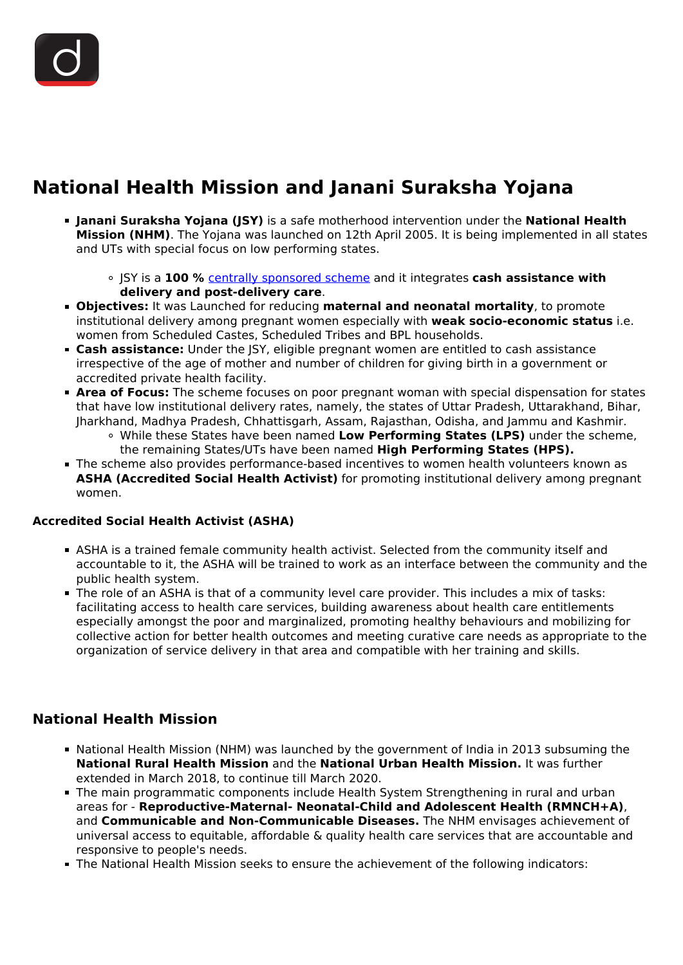

## **National Health Mission and Janani Suraksha Yojana**

- **Janani Suraksha Yojana (JSY)** is a safe motherhood intervention under the **National Health Mission (NHM)**. The Yojana was launched on 12th April 2005. It is being implemented in all states and UTs with special focus on low performing states.
	- JSY is a **100 %** [centrally sponsored scheme](/daily-updates/daily-news-analysis/proposal-to-hike-monthly-pensions) and it integrates **cash assistance with delivery and post-delivery care**.
- **Objectives:** It was Launched for reducing **maternal and neonatal mortality**, to promote institutional delivery among pregnant women especially with **weak socio-economic status** i.e. women from Scheduled Castes, Scheduled Tribes and BPL households.
- **Cash assistance:** Under the JSY, eligible pregnant women are entitled to cash assistance irrespective of the age of mother and number of children for giving birth in a government or accredited private health facility.
- **Area of Focus:** The scheme focuses on poor pregnant woman with special dispensation for states that have low institutional delivery rates, namely, the states of Uttar Pradesh, Uttarakhand, Bihar, Jharkhand, Madhya Pradesh, Chhattisgarh, Assam, Rajasthan, Odisha, and Jammu and Kashmir.
	- While these States have been named **Low Performing States (LPS)** under the scheme, the remaining States/UTs have been named **High Performing States (HPS).**
- The scheme also provides performance-based incentives to women health volunteers known as **ASHA (Accredited Social Health Activist)** for promoting institutional delivery among pregnant women.

## **Accredited Social Health Activist (ASHA)**

- ASHA is a trained female community health activist. Selected from the community itself and accountable to it, the ASHA will be trained to work as an interface between the community and the public health system.
- The role of an ASHA is that of a community level care provider. This includes a mix of tasks: facilitating access to health care services, building awareness about health care entitlements especially amongst the poor and marginalized, promoting healthy behaviours and mobilizing for collective action for better health outcomes and meeting curative care needs as appropriate to the organization of service delivery in that area and compatible with her training and skills.

## **National Health Mission**

- National Health Mission (NHM) was launched by the government of India in 2013 subsuming the **National Rural Health Mission** and the **National Urban Health Mission.** It was further extended in March 2018, to continue till March 2020.
- The main programmatic components include Health System Strengthening in rural and urban areas for - **Reproductive-Maternal- Neonatal-Child and Adolescent Health (RMNCH+A)**, and **Communicable and Non-Communicable Diseases.** The NHM envisages achievement of universal access to equitable, affordable & quality health care services that are accountable and responsive to people's needs.
- The National Health Mission seeks to ensure the achievement of the following indicators: